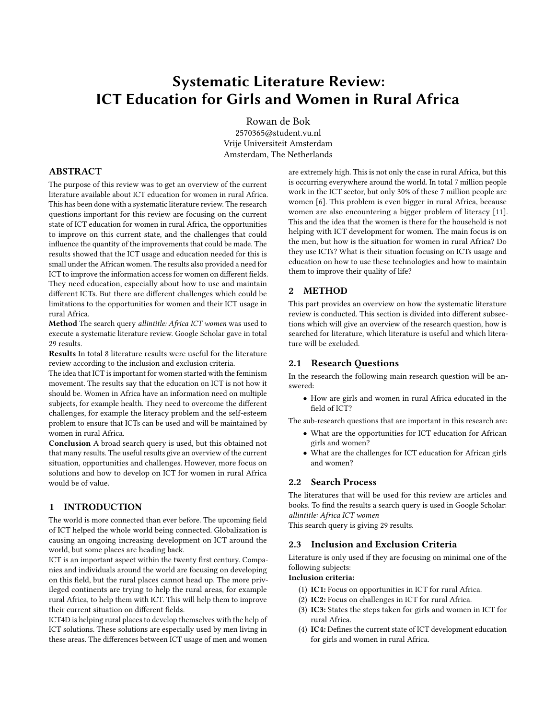# Systematic Literature Review: ICT Education for Girls and Women in Rural Africa

Rowan de Bok 2570365@student.vu.nl Vrije Universiteit Amsterdam Amsterdam, The Netherlands

# ABSTRACT

The purpose of this review was to get an overview of the current literature available about ICT education for women in rural Africa. This has been done with a systematic literature review. The research questions important for this review are focusing on the current state of ICT education for women in rural Africa, the opportunities to improve on this current state, and the challenges that could influence the quantity of the improvements that could be made. The results showed that the ICT usage and education needed for this is small under the African women. The results also provided a need for ICT to improve the information access for women on different fields. They need education, especially about how to use and maintain different ICTs. But there are different challenges which could be limitations to the opportunities for women and their ICT usage in rural Africa.

Method The search query allintitle: Africa ICT women was used to execute a systematic literature review. Google Scholar gave in total 29 results.

Results In total 8 literature results were useful for the literature review according to the inclusion and exclusion criteria.

The idea that ICT is important for women started with the feminism movement. The results say that the education on ICT is not how it should be. Women in Africa have an information need on multiple subjects, for example health. They need to overcome the different challenges, for example the literacy problem and the self-esteem problem to ensure that ICTs can be used and will be maintained by women in rural Africa.

Conclusion A broad search query is used, but this obtained not that many results. The useful results give an overview of the current situation, opportunities and challenges. However, more focus on solutions and how to develop on ICT for women in rural Africa would be of value.

#### 1 INTRODUCTION

The world is more connected than ever before. The upcoming field of ICT helped the whole world being connected. Globalization is causing an ongoing increasing development on ICT around the world, but some places are heading back.

ICT is an important aspect within the twenty first century. Companies and individuals around the world are focusing on developing on this field, but the rural places cannot head up. The more privileged continents are trying to help the rural areas, for example rural Africa, to help them with ICT. This will help them to improve their current situation on different fields.

ICT4D is helping rural places to develop themselves with the help of ICT solutions. These solutions are especially used by men living in these areas. The differences between ICT usage of men and women

are extremely high. This is not only the case in rural Africa, but this is occurring everywhere around the world. In total 7 million people work in the ICT sector, but only 30% of these 7 million people are women [\[6\]](#page-2-0). This problem is even bigger in rural Africa, because women are also encountering a bigger problem of literacy [\[11\]](#page-2-1). This and the idea that the women is there for the household is not helping with ICT development for women. The main focus is on the men, but how is the situation for women in rural Africa? Do they use ICTs? What is their situation focusing on ICTs usage and education on how to use these technologies and how to maintain them to improve their quality of life?

#### 2 METHOD

This part provides an overview on how the systematic literature review is conducted. This section is divided into different subsections which will give an overview of the research question, how is searched for literature, which literature is useful and which literature will be excluded.

# 2.1 Research Questions

In the research the following main research question will be answered:

• How are girls and women in rural Africa educated in the field of ICT?

The sub-research questions that are important in this research are:

- What are the opportunities for ICT education for African girls and women?
- What are the challenges for ICT education for African girls and women?

#### 2.2 Search Process

The literatures that will be used for this review are articles and books. To find the results a search query is used in Google Scholar: allintitle: Africa ICT women

This search query is giving 29 results.

# 2.3 Inclusion and Exclusion Criteria

Literature is only used if they are focusing on minimal one of the following subjects:

#### Inclusion criteria:

- (1) IC1: Focus on opportunities in ICT for rural Africa.
- (2) IC2: Focus on challenges in ICT for rural Africa.
- (3) IC3: States the steps taken for girls and women in ICT for rural Africa.
- (4) IC4: Defines the current state of ICT development education for girls and women in rural Africa.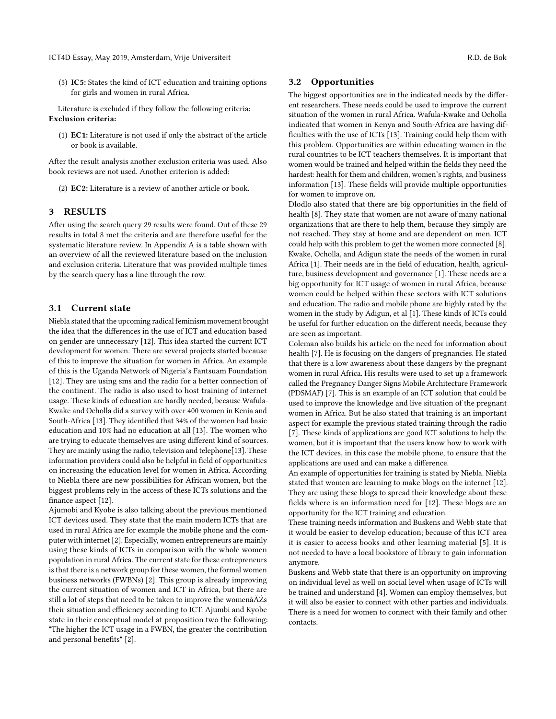(5) IC5: States the kind of ICT education and training options for girls and women in rural Africa.

Literature is excluded if they follow the following criteria: Exclusion criteria:

(1) EC1: Literature is not used if only the abstract of the article or book is available.

After the result analysis another exclusion criteria was used. Also book reviews are not used. Another criterion is added:

(2) EC2: Literature is a review of another article or book.

#### 3 RESULTS

After using the search query 29 results were found. Out of these 29 results in total 8 met the criteria and are therefore useful for the systematic literature review. In Appendix A is a table shown with an overview of all the reviewed literature based on the inclusion and exclusion criteria. Literature that was provided multiple times by the search query has a line through the row.

#### 3.1 Current state

Niebla stated that the upcoming radical feminism movement brought the idea that the differences in the use of ICT and education based on gender are unnecessary [\[12\]](#page-3-0). This idea started the current ICT development for women. There are several projects started because of this to improve the situation for women in Africa. An example of this is the Uganda Network of Nigeria's Fantsuam Foundation [\[12\]](#page-3-0). They are using sms and the radio for a better connection of the continent. The radio is also used to host training of internet usage. These kinds of education are hardly needed, because Wafula-Kwake and Ocholla did a survey with over 400 women in Kenia and South-Africa [\[13\]](#page-3-1). They identified that 34% of the women had basic education and 10% had no education at all [\[13\]](#page-3-1). The women who are trying to educate themselves are using different kind of sources. They are mainly using the radio, television and telephone[\[13\]](#page-3-1). These information providers could also be helpful in field of opportunities on increasing the education level for women in Africa. According to Niebla there are new possibilities for African women, but the biggest problems rely in the access of these ICTs solutions and the finance aspect [\[12\]](#page-3-0).

Ajumobi and Kyobe is also talking about the previous mentioned ICT devices used. They state that the main modern ICTs that are used in rural Africa are for example the mobile phone and the computer with internet [\[2\]](#page-2-2). Especially, women entrepreneurs are mainly using these kinds of ICTs in comparison with the whole women population in rural Africa. The current state for these entrepreneurs is that there is a network group for these women, the formal women business networks (FWBNs) [\[2\]](#page-2-2). This group is already improving the current situation of women and ICT in Africa, but there are still a lot of steps that need to be taken to improve the womenâĂŹs their situation and efficiency according to ICT. Ajumbi and Kyobe state in their conceptual model at proposition two the following: "The higher the ICT usage in a FWBN, the greater the contribution and personal benefits" [\[2\]](#page-2-2).

#### 3.2 Opportunities

The biggest opportunities are in the indicated needs by the different researchers. These needs could be used to improve the current situation of the women in rural Africa. Wafula-Kwake and Ocholla indicated that women in Kenya and South-Africa are having difficulties with the use of ICTs [\[13\]](#page-3-1). Training could help them with this problem. Opportunities are within educating women in the rural countries to be ICT teachers themselves. It is important that women would be trained and helped within the fields they need the hardest: health for them and children, women's rights, and business information [\[13\]](#page-3-1). These fields will provide multiple opportunities for women to improve on.

Dlodlo also stated that there are big opportunities in the field of health [\[8\]](#page-2-3). They state that women are not aware of many national organizations that are there to help them, because they simply are not reached. They stay at home and are dependent on men. ICT could help with this problem to get the women more connected [\[8\]](#page-2-3). Kwake, Ocholla, and Adigun state the needs of the women in rural Africa [\[1\]](#page-2-4). Their needs are in the field of education, health, agriculture, business development and governance [\[1\]](#page-2-4). These needs are a big opportunity for ICT usage of women in rural Africa, because women could be helped within these sectors with ICT solutions and education. The radio and mobile phone are highly rated by the women in the study by Adigun, et al [\[1\]](#page-2-4). These kinds of ICTs could be useful for further education on the different needs, because they are seen as important.

Coleman also builds his article on the need for information about health [\[7\]](#page-2-5). He is focusing on the dangers of pregnancies. He stated that there is a low awareness about these dangers by the pregnant women in rural Africa. His results were used to set up a framework called the Pregnancy Danger Signs Mobile Architecture Framework (PDSMAF) [\[7\]](#page-2-5). This is an example of an ICT solution that could be used to improve the knowledge and live situation of the pregnant women in Africa. But he also stated that training is an important aspect for example the previous stated training through the radio [\[7\]](#page-2-5). These kinds of applications are good ICT solutions to help the women, but it is important that the users know how to work with the ICT devices, in this case the mobile phone, to ensure that the applications are used and can make a difference.

An example of opportunities for training is stated by Niebla. Niebla stated that women are learning to make blogs on the internet [\[12\]](#page-3-0). They are using these blogs to spread their knowledge about these fields where is an information need for [\[12\]](#page-3-0). These blogs are an opportunity for the ICT training and education.

These training needs information and Buskens and Webb state that it would be easier to develop education; because of this ICT area it is easier to access books and other learning material [\[5\]](#page-2-6). It is not needed to have a local bookstore of library to gain information anymore.

Buskens and Webb state that there is an opportunity on improving on individual level as well on social level when usage of ICTs will be trained and understand [\[4\]](#page-2-7). Women can employ themselves, but it will also be easier to connect with other parties and individuals. There is a need for women to connect with their family and other contacts.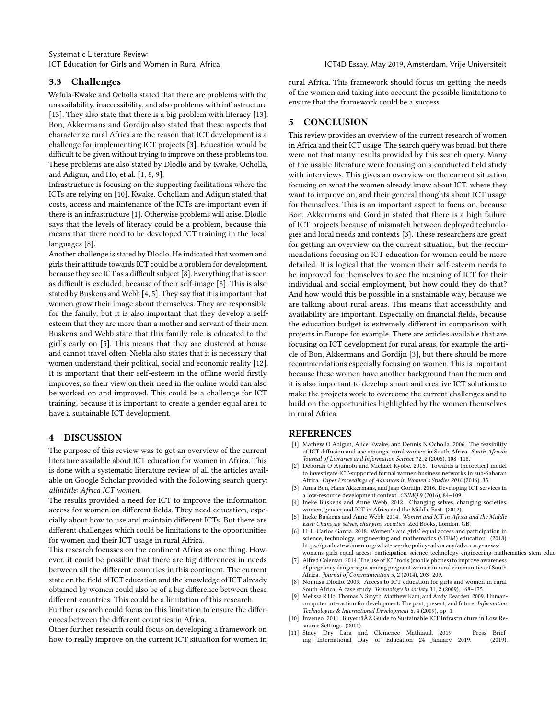#### ICT Education for Girls and Women in Rural Africa **ICT4D Essay, May 2019, Amsterdam, Vrije Universiteit**

## 3.3 Challenges

Wafula-Kwake and Ocholla stated that there are problems with the unavailability, inaccessibility, and also problems with infrastructure [\[13\]](#page-3-1). They also state that there is a big problem with literacy [13]. Bon, Akkermans and Gordijn also stated that these aspects that characterize rural Africa are the reason that ICT development is a challenge for implementing ICT projects [\[3\]](#page-2-8). Education would be difficult to be given without trying to improve on these problems too. These problems are also stated by Dlodlo and by Kwake, Ocholla, and Adigun, and Ho, et al. [\[1,](#page-2-4) [8,](#page-2-3) [9\]](#page-2-9).

Infrastructure is focusing on the supporting facilitations where the ICTs are relying on [\[10\]](#page-2-10). Kwake, Ochollam and Adigun stated that costs, access and maintenance of the ICTs are important even if there is an infrastructure [\[1\]](#page-2-4). Otherwise problems will arise. Dlodlo says that the levels of literacy could be a problem, because this means that there need to be developed ICT training in the local languages [\[8\]](#page-2-3).

Another challenge is stated by Dlodlo. He indicated that women and girls their attitude towards ICT could be a problem for development, because they see ICT as a difficult subject [\[8\]](#page-2-3). Everything that is seen as difficult is excluded, because of their self-image [\[8\]](#page-2-3). This is also stated by Buskens and Webb [\[4,](#page-2-7) [5\]](#page-2-6). They say that it is important that women grow their image about themselves. They are responsible for the family, but it is also important that they develop a selfesteem that they are more than a mother and servant of their men. Buskens and Webb state that this family role is educated to the girl's early on [\[5\]](#page-2-6). This means that they are clustered at house and cannot travel often. Niebla also states that it is necessary that women understand their political, social and economic reality [\[12\]](#page-3-0). It is important that their self-esteem in the offline world firstly improves, so their view on their need in the online world can also be worked on and improved. This could be a challenge for ICT training, because it is important to create a gender equal area to have a sustainable ICT development.

### 4 DISCUSSION

The purpose of this review was to get an overview of the current literature available about ICT education for women in Africa. This is done with a systematic literature review of all the articles available on Google Scholar provided with the following search query: allintitle: Africa ICT women.

The results provided a need for ICT to improve the information access for women on different fields. They need education, especially about how to use and maintain different ICTs. But there are different challenges which could be limitations to the opportunities for women and their ICT usage in rural Africa.

This research focusses on the continent Africa as one thing. However, it could be possible that there are big differences in needs between all the different countries in this continent. The current state on the field of ICT education and the knowledge of ICT already obtained by women could also be of a big difference between these different countries. This could be a limitation of this research.

Further research could focus on this limitation to ensure the differences between the different countries in Africa.

Other further research could focus on developing a framework on how to really improve on the current ICT situation for women in rural Africa. This framework should focus on getting the needs of the women and taking into account the possible limitations to ensure that the framework could be a success.

#### 5 CONCLUSION

This review provides an overview of the current research of women in Africa and their ICT usage. The search query was broad, but there were not that many results provided by this search query. Many of the usable literature were focusing on a conducted field study with interviews. This gives an overview on the current situation focusing on what the women already know about ICT, where they want to improve on, and their general thoughts about ICT usage for themselves. This is an important aspect to focus on, because Bon, Akkermans and Gordijn stated that there is a high failure of ICT projects because of mismatch between deployed technologies and local needs and contexts [\[3\]](#page-2-8). These researchers are great for getting an overview on the current situation, but the recommendations focusing on ICT education for women could be more detailed. It is logical that the women their self-esteem needs to be improved for themselves to see the meaning of ICT for their individual and social employment, but how could they do that? And how would this be possible in a sustainable way, because we are talking about rural areas. This means that accessibility and availability are important. Especially on financial fields, because the education budget is extremely different in comparison with projects in Europe for example. There are articles available that are focusing on ICT development for rural areas, for example the article of Bon, Akkermans and Gordijn [\[3\]](#page-2-8), but there should be more recommendations especially focusing on women. This is important because these women have another background than the men and it is also important to develop smart and creative ICT solutions to make the projects work to overcome the current challenges and to build on the opportunities highlighted by the women themselves in rural Africa.

#### **REFERENCES**

- <span id="page-2-4"></span>[1] Mathew O Adigun, Alice Kwake, and Dennis N Ocholla. 2006. The feasibility of ICT diffusion and use amongst rural women in South Africa. South African Journal of Libraries and Information Science 72, 2 (2006), 108–118.
- <span id="page-2-2"></span>[2] Deborah O Ajumobi and Michael Kyobe. 2016. Towards a theoretical model to investigate ICT-supported formal women business networks in sub-Saharan Africa. Paper Proceedings of Advances in Women's Studies 2016 (2016), 35.
- <span id="page-2-8"></span>Anna Bon, Hans Akkermans, and Jaap Gordijn. 2016. Developing ICT services in a low-resource development context. CSIMQ 9 (2016), 84–109.
- <span id="page-2-7"></span>[4] Ineke Buskens and Anne Webb. 2012. Changing selves, changing societies: women, gender and ICT in Africa and the Middle East. (2012).
- <span id="page-2-6"></span>[5] Ineke Buskens and Anne Webb. 2014. Women and ICT in Africa and the Middle East: Changing selves, changing societies. Zed Books, London, GB.
- <span id="page-2-0"></span>[6] H. E. Carlos Garcia. 2018. Women's and girls' equal access and participation in science, technology, engineering and mathematics (STEM) education. (2018). [https://graduatewomen.org/what-we-do/policy-advocacy/advocacy-news/](https://graduatewomen.org/what-we-do/policy-advocacy/advocacy-news/womens-girls-equal-access-participation-science-technology-engineering-mathematics-stem-education-csw-58)  $\omega$  womens-girls-equal-access-participation-science-technology-engineering-mathematics-stem-educ
- <span id="page-2-5"></span>[7] Alfred Coleman. 2014. The use of ICT tools (mobile phones) to improve awareness of pregnancy danger signs among pregnant women in rural communities of South Africa. Journal of Communication 5, 2 (2014), 203–209.
- <span id="page-2-3"></span>Nomusa Dlodlo. 2009. Access to ICT education for girls and women in rural South Africa: A case study. Technology in society 31, 2 (2009), 168-175.
- <span id="page-2-9"></span>[9] Melissa R Ho, Thomas N Smyth, Matthew Kam, and Andy Dearden. 2009. Humancomputer interaction for development: The past, present, and future. Information Technologies & International Development 5, 4 (2009), pp–1.
- <span id="page-2-10"></span>[10] Inveneo. 2011. BuyersâĂŹ Guide to Sustainable ICT Infrastructure in Low Resource Settings. (2011).
- <span id="page-2-1"></span>[11] Stacy Dry Lara and Clemence Mathiaud. 2019. Press Briefing International Day of Education 24 January 2019. (2019).